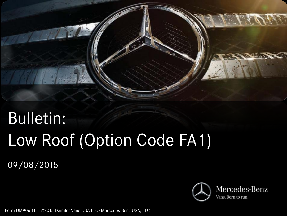

# Bulletin: Low Roof (Option Code FA1)

09/08/2015



Form UM906.11 | ©2015 Daimler Vans USA LLC/Mercedes-Benz USA, LLC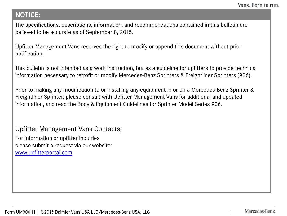#### **NOTICE:**

The specifications, descriptions, information, and recommendations contained in this bulletin are believed to be accurate as of September 8, 2015.

Upfitter Management Vans reserves the right to modify or append this document without prior notification.

This bulletin is not intended as a work instruction, but as a guideline for upfitters to provide technical information necessary to retrofit or modify Mercedes-Benz Sprinters & Freightliner Sprinters (906).

Prior to making any modification to or installing any equipment in or on a Mercedes-Benz Sprinter & Freightliner Sprinter, please consult with Upfitter Management Vans for additional and updated information, and read the Body & Equipment Guidelines for Sprinter Model Series 906.

#### Upfitter Management Vans Contacts:

For information or upfitter inquiries please submit a request via our website: [www.upfitterportal.com](http://www.upfitterportalcom/)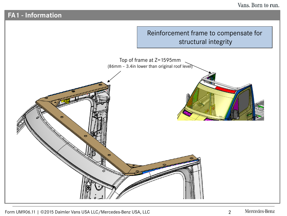#### **FA1 - Information**

# Reinforcement frame to compensate for structural integrity Top of frame at Z=1595mm (86mm – 3.4in lower than original roof level)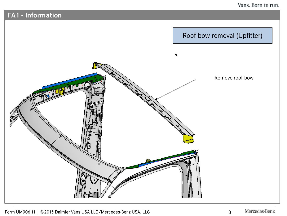## **FA1 - Information**



Form UM906.11 | ©2015 Daimler Vans USA LLC/Mercedes-Benz USA, LLC 3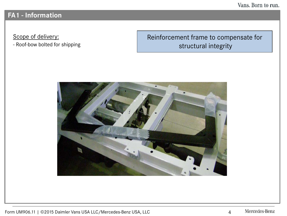Vans. Born to run.

### **FA1 - Information**

Scope of delivery:

- Roof-bow bolted for shipping

Reinforcement frame to compensate for structural integrity